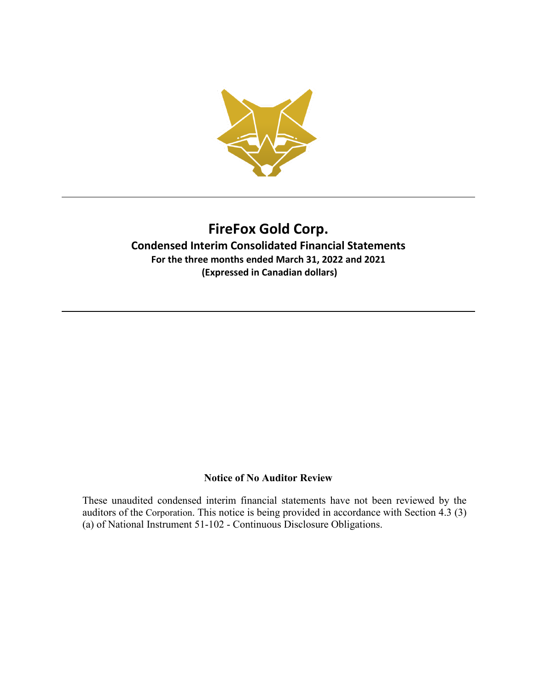

### **Condensed Interim Consolidated Financial Statements For the three months ended March 31, 2022 and 2021 (Expressed in Canadian dollars)**

### **Notice of No Auditor Review**

These unaudited condensed interim financial statements have not been reviewed by the auditors of the Corporation. This notice is being provided in accordance with Section 4.3 (3) (a) of National Instrument 51-102 - Continuous Disclosure Obligations.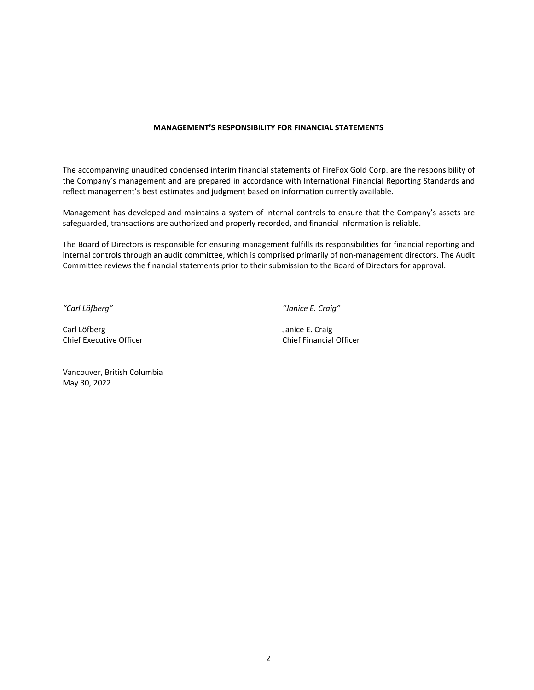#### **MANAGEMENT'S RESPONSIBILITY FOR FINANCIAL STATEMENTS**

The accompanying unaudited condensed interim financial statements of FireFox Gold Corp. are the responsibility of the Company's management and are prepared in accordance with International Financial Reporting Standards and reflect management's best estimates and judgment based on information currently available.

Management has developed and maintains a system of internal controls to ensure that the Company's assets are safeguarded, transactions are authorized and properly recorded, and financial information is reliable.

The Board of Directors is responsible for ensuring management fulfills its responsibilities for financial reporting and internal controls through an audit committee, which is comprised primarily of non-management directors. The Audit Committee reviews the financial statements prior to their submission to the Board of Directors for approval.

*"Carl Löfberg" "Janice E. Craig"*

Carl Löfberg **Janice E. Craig** Chief Executive Officer Chief Financial Officer

Vancouver, British Columbia May 30, 2022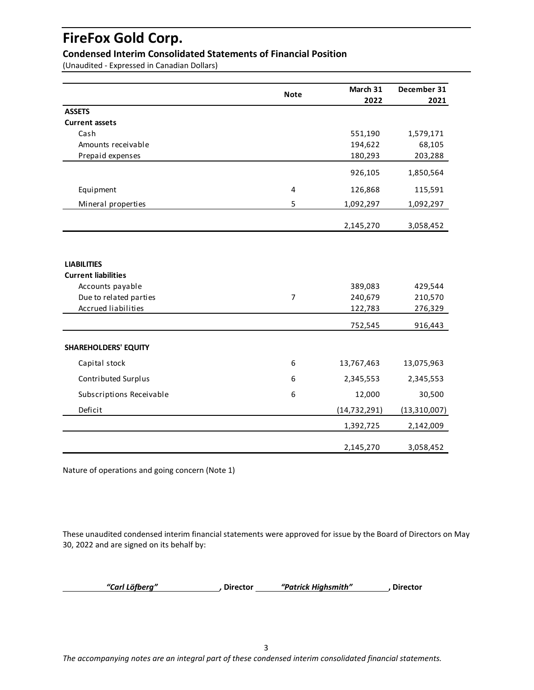### **Condensed Interim Consolidated Statements of Financial Position**

(Unaudited - Expressed in Canadian Dollars)

|                             |                | March 31       | December 31    |
|-----------------------------|----------------|----------------|----------------|
|                             | <b>Note</b>    | 2022           | 2021           |
| <b>ASSETS</b>               |                |                |                |
| <b>Current assets</b>       |                |                |                |
| Cash                        |                | 551,190        | 1,579,171      |
| Amounts receivable          |                | 194,622        | 68,105         |
| Prepaid expenses            |                | 180,293        | 203,288        |
|                             |                | 926,105        | 1,850,564      |
| Equipment                   | 4              | 126,868        | 115,591        |
| Mineral properties          | 5              | 1,092,297      | 1,092,297      |
|                             |                | 2,145,270      | 3,058,452      |
| <b>LIABILITIES</b>          |                |                |                |
| <b>Current liabilities</b>  |                |                |                |
| Accounts payable            |                | 389,083        | 429,544        |
| Due to related parties      | $\overline{7}$ | 240,679        | 210,570        |
| <b>Accrued liabilities</b>  |                | 122,783        | 276,329        |
|                             |                | 752,545        | 916,443        |
| <b>SHAREHOLDERS' EQUITY</b> |                |                |                |
| Capital stock               | 6              | 13,767,463     | 13,075,963     |
| Contributed Surplus         | 6              | 2,345,553      | 2,345,553      |
| Subscriptions Receivable    | 6              | 12,000         | 30,500         |
| Deficit                     |                | (14, 732, 291) | (13, 310, 007) |
|                             |                | 1,392,725      | 2,142,009      |
|                             |                | 2,145,270      | 3,058,452      |

Nature of operations and going concern (Note 1)

These unaudited condensed interim financial statements were approved for issue by the Board of Directors on May 30, 2022 and are signed on its behalf by:

 *"Carl Löfberg" ,* **Director** *"Patrick Highsmith"* **, Director**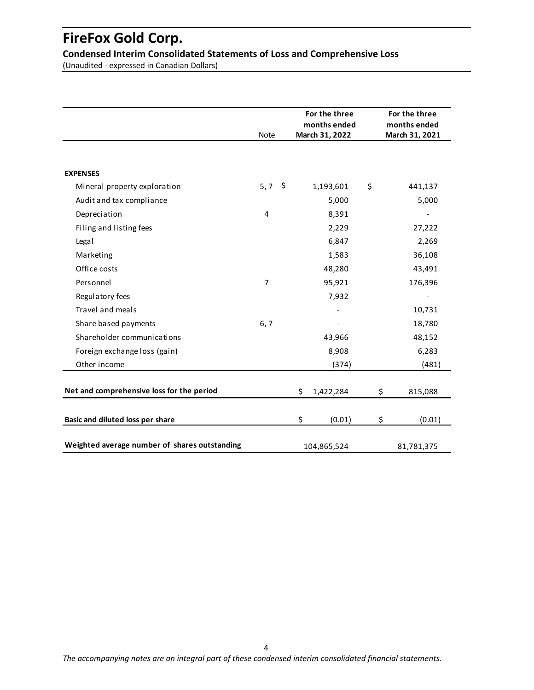**Condensed Interim Consolidated Statements of Loss and Comprehensive Loss**

(Unaudited - expressed in Canadian Dollars)

|                                               | <b>Note</b>    | For the three<br>months ended<br>March 31, 2022 | For the three<br>months ended<br>March 31, 2021 |
|-----------------------------------------------|----------------|-------------------------------------------------|-------------------------------------------------|
| <b>EXPENSES</b>                               |                |                                                 |                                                 |
| Mineral property exploration                  | $5,7$ \$       | 1,193,601                                       | \$<br>441,137                                   |
| Audit and tax compliance                      |                | 5,000                                           | 5,000                                           |
| Depreciation                                  | 4              | 8,391                                           |                                                 |
| Filing and listing fees                       |                | 2,229                                           | 27,222                                          |
| Legal                                         |                | 6,847                                           | 2,269                                           |
| Marketing                                     |                | 1,583                                           | 36,108                                          |
| Office costs                                  |                | 48,280                                          | 43,491                                          |
| Personnel                                     | $\overline{7}$ | 95,921                                          | 176,396                                         |
| Regulatory fees                               |                | 7,932                                           |                                                 |
| Travel and meals                              |                |                                                 | 10,731                                          |
| Share based payments                          | 6, 7           |                                                 | 18,780                                          |
| Shareholder communications                    |                | 43,966                                          | 48,152                                          |
| Foreign exchange loss (gain)                  |                | 8,908                                           | 6,283                                           |
| Other income                                  |                | (374)                                           | (481)                                           |
| Net and comprehensive loss for the period     |                | \$<br>1,422,284                                 | \$<br>815,088                                   |
| Basic and diluted loss per share              |                | \$<br>(0.01)                                    | \$<br>(0.01)                                    |
| Weighted average number of shares outstanding |                | 104,865,524                                     | 81,781,375                                      |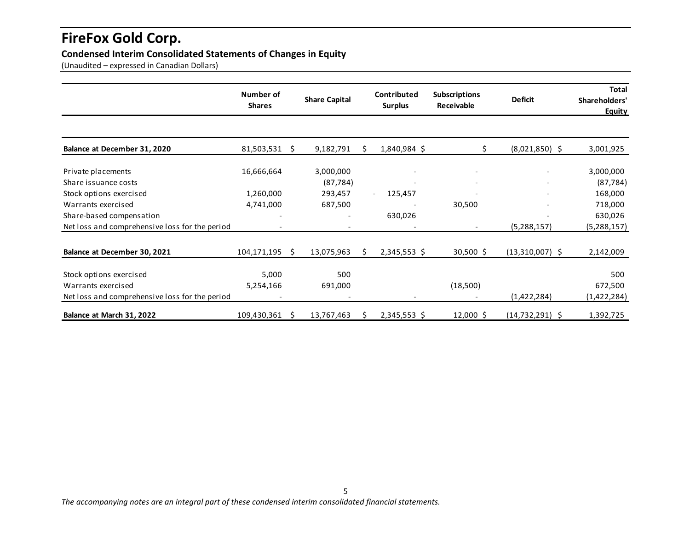### **Condensed Interim Consolidated Statements of Changes in Equity**

(Unaudited – expressed in Canadian Dollars)

|                                                | Number of<br><b>Shares</b> |    | <b>Share Capital</b> |    | Contributed<br><b>Surplus</b> | <b>Subscriptions</b><br>Receivable | <b>Deficit</b>      | <b>Total</b><br>Shareholders'<br>Equity |
|------------------------------------------------|----------------------------|----|----------------------|----|-------------------------------|------------------------------------|---------------------|-----------------------------------------|
|                                                |                            |    |                      |    |                               |                                    |                     |                                         |
| Balance at December 31, 2020                   | 81,503,531                 | Ŝ. | 9,182,791            | S. | 1,840,984 \$                  | Ś                                  | $(8,021,850)$ \$    | 3,001,925                               |
| Private placements                             | 16,666,664                 |    | 3,000,000            |    | $\qquad \qquad \blacksquare$  | $\overline{\phantom{a}}$           |                     | 3,000,000                               |
| Share issuance costs                           |                            |    | (87, 784)            |    |                               |                                    |                     | (87, 784)                               |
| Stock options exercised                        | 1,260,000                  |    | 293,457              |    | 125,457<br>$ \,$              |                                    |                     | 168,000                                 |
| Warrants exercised                             | 4,741,000                  |    | 687,500              |    |                               | 30,500                             |                     | 718,000                                 |
| Share-based compensation                       |                            |    |                      |    | 630,026                       |                                    |                     | 630,026                                 |
| Net loss and comprehensive loss for the period |                            |    |                      |    |                               | $\overline{\phantom{a}}$           | (5, 288, 157)       | (5, 288, 157)                           |
| Balance at December 30, 2021                   | 104,171,195                | Ŝ. | 13,075,963           | S. | 2,345,553 \$                  | 30,500 \$                          | $(13,310,007)$ \$   | 2,142,009                               |
| Stock options exercised                        | 5,000                      |    | 500                  |    |                               |                                    |                     | 500                                     |
| Warrants exercised                             | 5,254,166                  |    | 691,000              |    |                               | (18,500)                           |                     | 672,500                                 |
| Net loss and comprehensive loss for the period |                            |    |                      |    |                               |                                    | (1,422,284)         | (1,422,284)                             |
| Balance at March 31, 2022                      | 109,430,361                | S  | 13,767,463           | S  | $2,345,553$ \$                | $12,000$ \$                        | $(14, 732, 291)$ \$ | 1,392,725                               |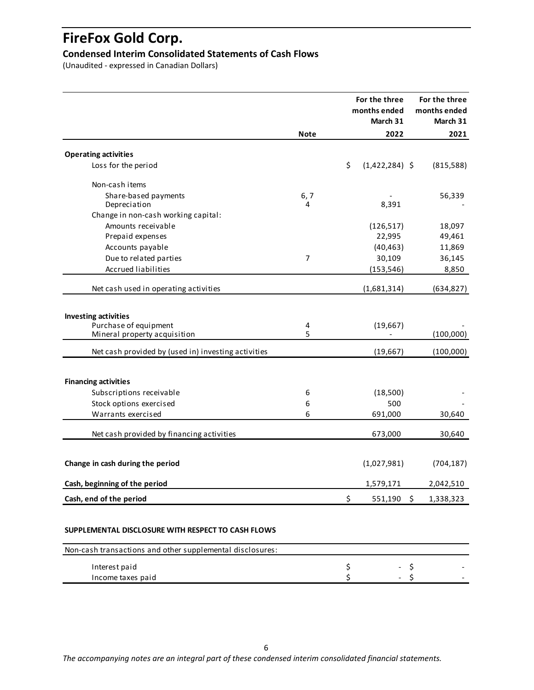### **Condensed Interim Consolidated Statements of Cash Flows**

(Unaudited - expressed in Canadian Dollars)

|                                                         |                | For the three<br>months ended<br>March 31 | For the three<br>months ended<br>March 31 |
|---------------------------------------------------------|----------------|-------------------------------------------|-------------------------------------------|
|                                                         | <b>Note</b>    | 2022                                      | 2021                                      |
| <b>Operating activities</b>                             |                |                                           |                                           |
| Loss for the period                                     |                | \$<br>$(1,422,284)$ \$                    |                                           |
|                                                         |                |                                           | (815,588)                                 |
| Non-cash items                                          |                |                                           |                                           |
| Share-based payments                                    | 6, 7           |                                           | 56,339                                    |
| Depreciation                                            | 4              | 8,391                                     |                                           |
| Change in non-cash working capital:                     |                |                                           |                                           |
| Amounts receivable                                      |                | (126, 517)                                | 18,097                                    |
| Prepaid expenses                                        |                | 22,995                                    | 49,461                                    |
| Accounts payable                                        |                | (40, 463)                                 | 11,869                                    |
| Due to related parties                                  | $\overline{7}$ | 30,109                                    | 36,145                                    |
| <b>Accrued liabilities</b>                              |                | (153, 546)                                | 8,850                                     |
|                                                         |                |                                           |                                           |
| Net cash used in operating activities                   |                | (1,681,314)                               | (634,827)                                 |
|                                                         |                |                                           |                                           |
| <b>Investing activities</b>                             |                |                                           |                                           |
| Purchase of equipment                                   | 4              | (19,667)                                  |                                           |
| Mineral property acquisition                            | 5              |                                           | (100,000)                                 |
| Net cash provided by (used in) investing activities     |                | (19, 667)                                 | (100,000)                                 |
|                                                         |                |                                           |                                           |
| <b>Financing activities</b><br>Subscriptions receivable | 6              |                                           |                                           |
|                                                         | 6              | (18,500)                                  |                                           |
| Stock options exercised                                 |                | 500                                       |                                           |
| Warrants exercised                                      | 6              | 691,000                                   | 30,640                                    |
| Net cash provided by financing activities               |                | 673,000                                   | 30,640                                    |
|                                                         |                |                                           |                                           |
| Change in cash during the period                        |                | (1,027,981)                               | (704, 187)                                |
| Cash, beginning of the period                           |                | 1,579,171                                 | 2,042,510                                 |
| Cash, end of the period                                 |                | \$<br>551,190                             | \$<br>1,338,323                           |
|                                                         |                |                                           |                                           |
|                                                         |                |                                           |                                           |

#### **SUPPLEMENTAL DISCLOSURE WITH RESPECT TO CASH FLOWS**

| Non-cash transactions and other supplemental disclosures: |                          |  |
|-----------------------------------------------------------|--------------------------|--|
| Interest paid                                             | $\overline{\phantom{0}}$ |  |
| Income taxes paid                                         | $\overline{\phantom{0}}$ |  |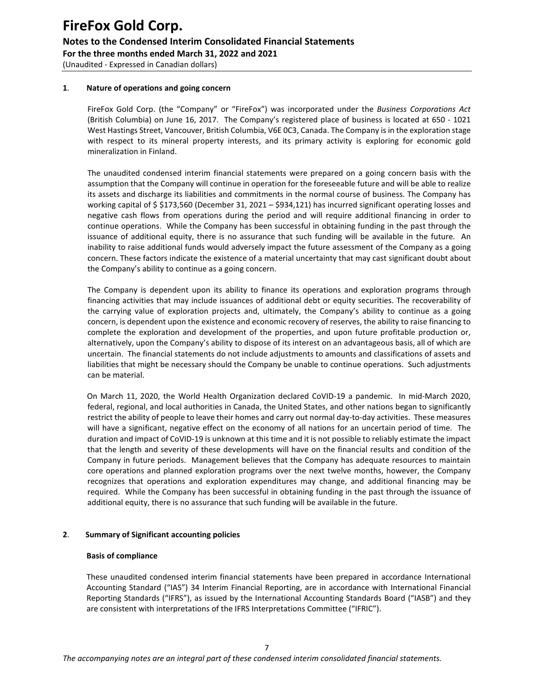#### **1**. **Nature of operations and going concern**

FireFox Gold Corp. (the "Company" or "FireFox") was incorporated under the *Business Corporations Act*  (British Columbia) on June 16, 2017. The Company's registered place of business is located at 650 - 1021 West Hastings Street, Vancouver, British Columbia, V6E 0C3, Canada. The Company is in the exploration stage with respect to its mineral property interests, and its primary activity is exploring for economic gold mineralization in Finland.

The unaudited condensed interim financial statements were prepared on a going concern basis with the assumption that the Company will continue in operation for the foreseeable future and will be able to realize its assets and discharge its liabilities and commitments in the normal course of business. The Company has working capital of \$ \$173,560 (December 31, 2021 – \$934,121) has incurred significant operating losses and negative cash flows from operations during the period and will require additional financing in order to continue operations. While the Company has been successful in obtaining funding in the past through the issuance of additional equity, there is no assurance that such funding will be available in the future. An inability to raise additional funds would adversely impact the future assessment of the Company as a going concern. These factors indicate the existence of a material uncertainty that may cast significant doubt about the Company's ability to continue as a going concern.

The Company is dependent upon its ability to finance its operations and exploration programs through financing activities that may include issuances of additional debt or equity securities. The recoverability of the carrying value of exploration projects and, ultimately, the Company's ability to continue as a going concern, is dependent upon the existence and economic recovery of reserves, the ability to raise financing to complete the exploration and development of the properties, and upon future profitable production or, alternatively, upon the Company's ability to dispose of its interest on an advantageous basis, all of which are uncertain. The financial statements do not include adjustments to amounts and classifications of assets and liabilities that might be necessary should the Company be unable to continue operations. Such adjustments can be material.

 On March 11, 2020, the World Health Organization declared CoVID-19 a pandemic. In mid-March 2020, federal, regional, and local authorities in Canada, the United States, and other nations began to significantly restrict the ability of people to leave their homes and carry out normal day-to-day activities. These measures will have a significant, negative effect on the economy of all nations for an uncertain period of time. The duration and impact of CoVID-19 is unknown at this time and it is not possible to reliably estimate the impact that the length and severity of these developments will have on the financial results and condition of the Company in future periods. Management believes that the Company has adequate resources to maintain core operations and planned exploration programs over the next twelve months, however, the Company recognizes that operations and exploration expenditures may change, and additional financing may be required. While the Company has been successful in obtaining funding in the past through the issuance of additional equity, there is no assurance that such funding will be available in the future.

#### **2**. **Summary of Significant accounting policies**

#### **Basis of compliance**

These unaudited condensed interim financial statements have been prepared in accordance International Accounting Standard ("IAS") 34 Interim Financial Reporting, are in accordance with International Financial Reporting Standards ("IFRS"), as issued by the International Accounting Standards Board ("IASB") and they are consistent with interpretations of the IFRS Interpretations Committee ("IFRIC").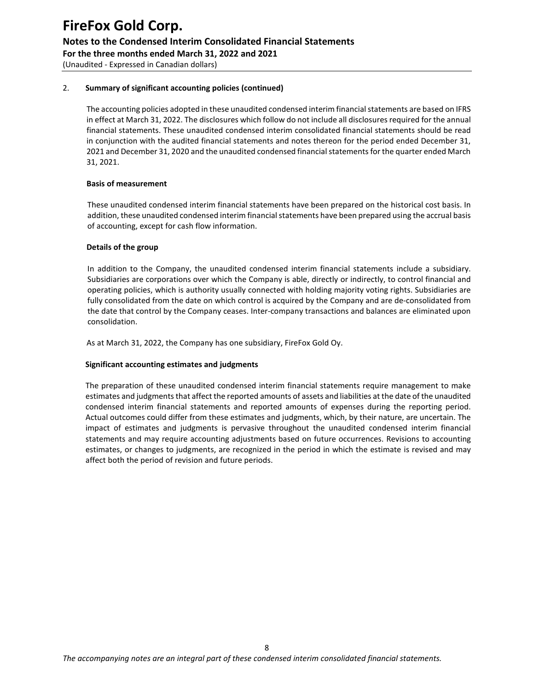(Unaudited - Expressed in Canadian dollars)

#### 2. **Summary of significant accounting policies (continued)**

The accounting policies adopted in these unaudited condensed interim financial statements are based on IFRS in effect at March 31, 2022. The disclosures which follow do not include all disclosures required for the annual financial statements. These unaudited condensed interim consolidated financial statements should be read in conjunction with the audited financial statements and notes thereon for the period ended December 31, 2021 and December 31, 2020 and the unaudited condensed financial statements for the quarter ended March 31, 2021.

#### **Basis of measurement**

These unaudited condensed interim financial statements have been prepared on the historical cost basis. In addition, these unaudited condensed interim financial statements have been prepared using the accrual basis of accounting, except for cash flow information.

#### **Details of the group**

In addition to the Company, the unaudited condensed interim financial statements include a subsidiary. Subsidiaries are corporations over which the Company is able, directly or indirectly, to control financial and operating policies, which is authority usually connected with holding majority voting rights. Subsidiaries are fully consolidated from the date on which control is acquired by the Company and are de-consolidated from the date that control by the Company ceases. Inter-company transactions and balances are eliminated upon consolidation.

As at March 31, 2022, the Company has one subsidiary, FireFox Gold Oy.

#### **Significant accounting estimates and judgments**

The preparation of these unaudited condensed interim financial statements require management to make estimates and judgments that affect the reported amounts of assets and liabilities at the date of the unaudited condensed interim financial statements and reported amounts of expenses during the reporting period. Actual outcomes could differ from these estimates and judgments, which, by their nature, are uncertain. The impact of estimates and judgments is pervasive throughout the unaudited condensed interim financial statements and may require accounting adjustments based on future occurrences. Revisions to accounting estimates, or changes to judgments, are recognized in the period in which the estimate is revised and may affect both the period of revision and future periods.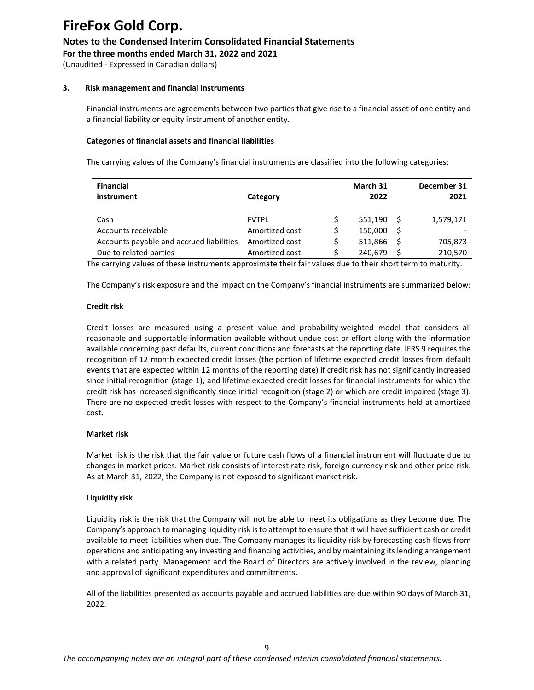(Unaudited - Expressed in Canadian dollars)

#### **3. Risk management and financial Instruments**

Financial instruments are agreements between two parties that give rise to a financial asset of one entity and a financial liability or equity instrument of another entity.

#### **Categories of financial assets and financial liabilities**

The carrying values of the Company's financial instruments are classified into the following categories:

| <b>Financial</b>                         |                |      | March 31     |    | December 31 |  |  |
|------------------------------------------|----------------|------|--------------|----|-------------|--|--|
| instrument                               | Category       | 2022 |              |    |             |  |  |
|                                          |                |      |              |    |             |  |  |
| Cash                                     | <b>FVTPI</b>   |      | $551,190$ \$ |    | 1,579,171   |  |  |
| Accounts receivable                      | Amortized cost | Ś    | 150,000      | -S |             |  |  |
| Accounts payable and accrued liabilities | Amortized cost |      | 511.866      | -S | 705,873     |  |  |
| Due to related parties                   | Amortized cost |      | 240,679      |    | 210,570     |  |  |

The carrying values of these instruments approximate their fair values due to their short term to maturity.

The Company's risk exposure and the impact on the Company's financial instruments are summarized below:

#### **Credit risk**

Credit losses are measured using a present value and probability-weighted model that considers all reasonable and supportable information available without undue cost or effort along with the information available concerning past defaults, current conditions and forecasts at the reporting date. IFRS 9 requires the recognition of 12 month expected credit losses (the portion of lifetime expected credit losses from default events that are expected within 12 months of the reporting date) if credit risk has not significantly increased since initial recognition (stage 1), and lifetime expected credit losses for financial instruments for which the credit risk has increased significantly since initial recognition (stage 2) or which are credit impaired (stage 3). There are no expected credit losses with respect to the Company's financial instruments held at amortized cost.

#### **Market risk**

Market risk is the risk that the fair value or future cash flows of a financial instrument will fluctuate due to changes in market prices. Market risk consists of interest rate risk, foreign currency risk and other price risk. As at March 31, 2022, the Company is not exposed to significant market risk.

#### **Liquidity risk**

Liquidity risk is the risk that the Company will not be able to meet its obligations as they become due. The Company's approach to managing liquidity risk is to attempt to ensure that it will have sufficient cash or credit available to meet liabilities when due. The Company manages its liquidity risk by forecasting cash flows from operations and anticipating any investing and financing activities, and by maintaining its lending arrangement with a related party. Management and the Board of Directors are actively involved in the review, planning and approval of significant expenditures and commitments.

All of the liabilities presented as accounts payable and accrued liabilities are due within 90 days of March 31, 2022.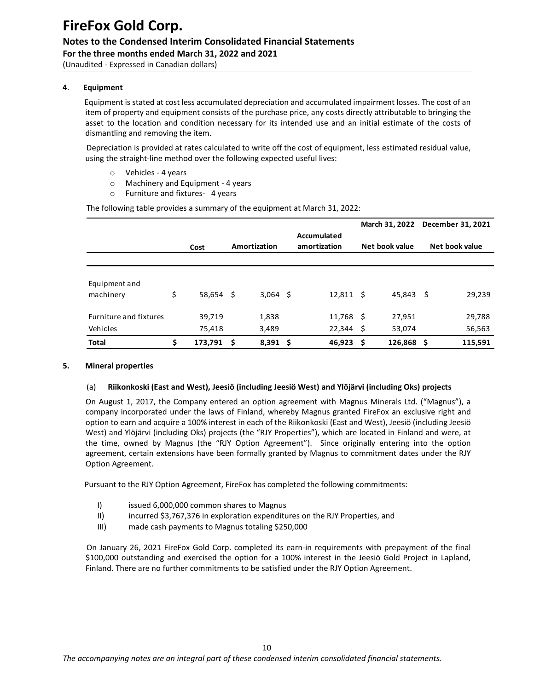**For the three months ended March 31, 2022 and 2021**  (Unaudited - Expressed in Canadian dollars)

#### **4**. **Equipment**

 Equipment is stated at cost less accumulated depreciation and accumulated impairment losses. The cost of an item of property and equipment consists of the purchase price, any costs directly attributable to bringing the asset to the location and condition necessary for its intended use and an initial estimate of the costs of dismantling and removing the item.

 Depreciation is provided at rates calculated to write off the cost of equipment, less estimated residual value, using the straight-line method over the following expected useful lives:

- o Vehicles 4 years
- o Machinery and Equipment 4 years
- o Furniture and fixtures- 4 years

The following table provides a summary of the equipment at March 31, 2022:

|                               |                 |      |              |  |                             |     | March 31, 2022 |  | December 31, 2021 |                |  |  |
|-------------------------------|-----------------|------|--------------|--|-----------------------------|-----|----------------|--|-------------------|----------------|--|--|
|                               | Cost            |      | Amortization |  | Accumulated<br>amortization |     |                |  | Net book value    | Net book value |  |  |
|                               |                 |      |              |  |                             |     |                |  |                   |                |  |  |
| Equipment and                 |                 |      |              |  |                             |     |                |  |                   |                |  |  |
| machinery                     | \$<br>58,654 \$ |      | $3,064$ \$   |  | $12,811 \quad$ \$           |     | 45,843 \$      |  | 29,239            |                |  |  |
| <b>Furniture and fixtures</b> | 39,719          |      | 1,838        |  | $11,768$ \$                 |     | 27,951         |  | 29,788            |                |  |  |
| Vehicles                      | 75,418          |      | 3,489        |  | $22,344$ \$                 |     | 53,074         |  | 56,563            |                |  |  |
| <b>Total</b>                  | \$<br>173,791   | - \$ | $8,391$ \$   |  | 46,923                      | - S | $126,868$ \$   |  | 115,591           |                |  |  |

#### **5. Mineral properties**

#### (a) **Riikonkoski (East and West), Jeesiö (including Jeesiö West) and Ylöjӓrvi (including Oks) projects**

On August 1, 2017, the Company entered an option agreement with Magnus Minerals Ltd. ("Magnus"), a company incorporated under the laws of Finland, whereby Magnus granted FireFox an exclusive right and option to earn and acquire a 100% interest in each of the Riikonkoski (East and West), Jeesiö (including Jeesiö West) and Ylöjärvi (including Oks) projects (the "RJY Properties"), which are located in Finland and were, at the time, owned by Magnus (the "RJY Option Agreement"). Since originally entering into the option agreement, certain extensions have been formally granted by Magnus to commitment dates under the RJY Option Agreement.

Pursuant to the RJY Option Agreement, FireFox has completed the following commitments:

- I) issued 6,000,000 common shares to Magnus
- II) incurred \$3,767,376 in exploration expenditures on the RJY Properties, and
- III) made cash payments to Magnus totaling \$250,000

 On January 26, 2021 FireFox Gold Corp. completed its earn-in requirements with prepayment of the final \$100,000 outstanding and exercised the option for a 100% interest in the Jeesiö Gold Project in Lapland, Finland. There are no further commitments to be satisfied under the RJY Option Agreement.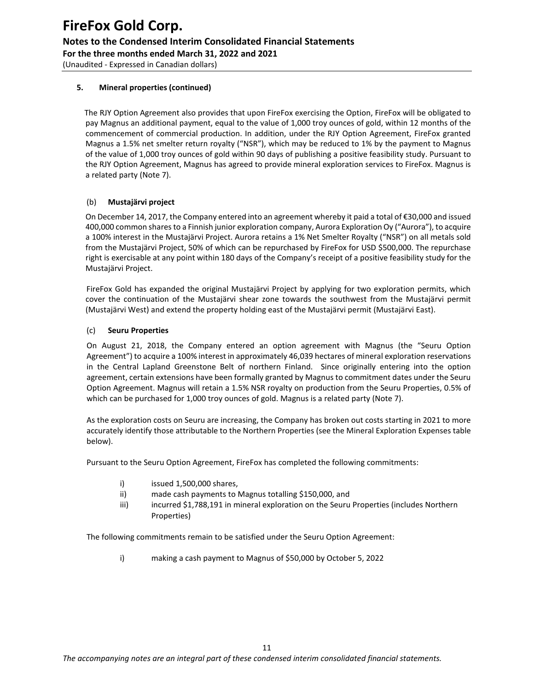#### **5. Mineral properties (continued)**

 The RJY Option Agreement also provides that upon FireFox exercising the Option, FireFox will be obligated to pay Magnus an additional payment, equal to the value of 1,000 troy ounces of gold, within 12 months of the commencement of commercial production. In addition, under the RJY Option Agreement, FireFox granted Magnus a 1.5% net smelter return royalty ("NSR"), which may be reduced to 1% by the payment to Magnus of the value of 1,000 troy ounces of gold within 90 days of publishing a positive feasibility study. Pursuant to the RJY Option Agreement, Magnus has agreed to provide mineral exploration services to FireFox. Magnus is a related party (Note 7).

#### (b) **Mustajärvi project**

On December 14, 2017, the Company entered into an agreement whereby it paid a total of €30,000 and issued 400,000 common shares to a Finnish junior exploration company, Aurora Exploration Oy ("Aurora"), to acquire a 100% interest in the Mustajärvi Project. Aurora retains a 1% Net Smelter Royalty ("NSR") on all metals sold from the Mustajärvi Project, 50% of which can be repurchased by FireFox for USD \$500,000. The repurchase right is exercisable at any point within 180 days of the Company's receipt of a positive feasibility study for the Mustajärvi Project.

 FireFox Gold has expanded the original Mustajärvi Project by applying for two exploration permits, which cover the continuation of the Mustajärvi shear zone towards the southwest from the Mustajärvi permit (Mustajärvi West) and extend the property holding east of the Mustajärvi permit (Mustajärvi East).

#### (c) **Seuru Properties**

On August 21, 2018, the Company entered an option agreement with Magnus (the "Seuru Option Agreement") to acquire a 100% interest in approximately 46,039 hectares of mineral exploration reservations in the Central Lapland Greenstone Belt of northern Finland. Since originally entering into the option agreement, certain extensions have been formally granted by Magnus to commitment dates under the Seuru Option Agreement. Magnus will retain a 1.5% NSR royalty on production from the Seuru Properties, 0.5% of which can be purchased for 1,000 troy ounces of gold. Magnus is a related party (Note 7).

As the exploration costs on Seuru are increasing, the Company has broken out costs starting in 2021 to more accurately identify those attributable to the Northern Properties (see the Mineral Exploration Expenses table below).

Pursuant to the Seuru Option Agreement, FireFox has completed the following commitments:

- i) issued 1,500,000 shares,
- ii) made cash payments to Magnus totalling \$150,000, and
- iii) incurred \$1,788,191 in mineral exploration on the Seuru Properties (includes Northern Properties)

The following commitments remain to be satisfied under the Seuru Option Agreement:

i) making a cash payment to Magnus of \$50,000 by October 5, 2022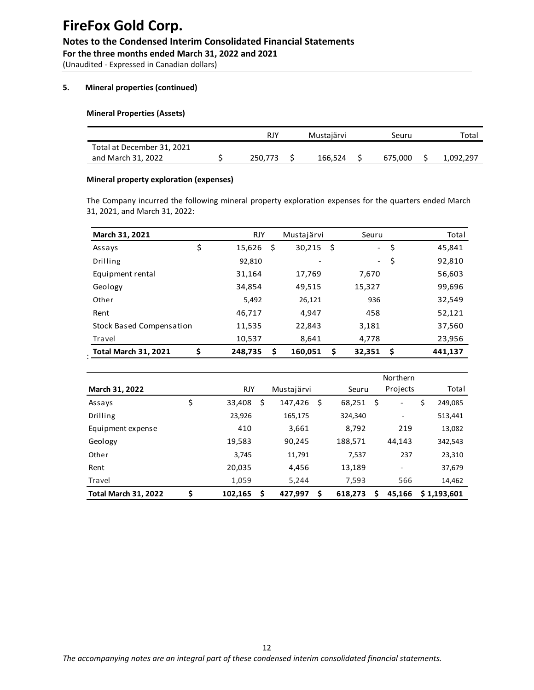(Unaudited - Expressed in Canadian dollars)

#### **5. Mineral properties (continued)**

#### **Mineral Properties (Assets)**

|                            | RJY     | Mustajärvi | Seuru   | Total     |
|----------------------------|---------|------------|---------|-----------|
| Total at December 31, 2021 |         |            |         |           |
| and March 31, 2022         | 250.773 | 166.524    | 675.000 | 1,092,297 |

#### **Mineral property exploration (expenses)**

The Company incurred the following mineral property exploration expenses for the quarters ended March 31, 2021, and March 31, 2022:

| March 31, 2021              |    | <b>RJY</b> | Mustajärvi    |     | Seuru                    | Total         |
|-----------------------------|----|------------|---------------|-----|--------------------------|---------------|
| Assays                      | \$ | 15,626     | \$<br>30,215  | -\$ | $\overline{\phantom{0}}$ | \$<br>45,841  |
| Drilling                    |    | 92,810     |               |     | $\blacksquare$           | \$<br>92,810  |
| Equipment rental            |    | 31,164     | 17,769        |     | 7,670                    | 56,603        |
| Geology                     |    | 34,854     | 49,515        |     | 15,327                   | 99,696        |
| Other                       |    | 5,492      | 26,121        |     | 936                      | 32,549        |
| Rent                        |    | 46,717     | 4,947         |     | 458                      | 52,121        |
| Stock Based Compensation    |    | 11,535     | 22,843        |     | 3,181                    | 37,560        |
| Travel                      |    | 10,537     | 8,641         |     | 4,778                    | 23,956        |
| <b>Total March 31, 2021</b> | Ś  | 248,735    | \$<br>160,051 | \$  | 32,351                   | \$<br>441,137 |

|                             |               |    |            |     |         |     | <b>Northern</b>          |               |
|-----------------------------|---------------|----|------------|-----|---------|-----|--------------------------|---------------|
| March 31, 2022              | <b>RJY</b>    |    | Mustajärvi |     | Seuru   |     | Projects                 | Total         |
| Assays                      | \$<br>33,408  | S  | 147,426    | \$. | 68,251  | .\$ | -                        | \$<br>249,085 |
| Drilling                    | 23,926        |    | 165,175    |     | 324,340 |     |                          | 513,441       |
| Equipment expense           | 410           |    | 3,661      |     | 8,792   |     | 219                      | 13,082        |
| Geology                     | 19,583        |    | 90,245     |     | 188,571 |     | 44,143                   | 342,543       |
| Other                       | 3.745         |    | 11,791     |     | 7,537   |     | 237                      | 23,310        |
| Rent                        | 20,035        |    | 4,456      |     | 13,189  |     | $\overline{\phantom{a}}$ | 37,679        |
| Travel                      | 1,059         |    | 5,244      |     | 7,593   |     | 566                      | 14,462        |
| <b>Total March 31, 2022</b> | \$<br>102,165 | \$ | 427,997    | \$  | 618,273 | Ŝ   | 45.166                   | \$1,193,601   |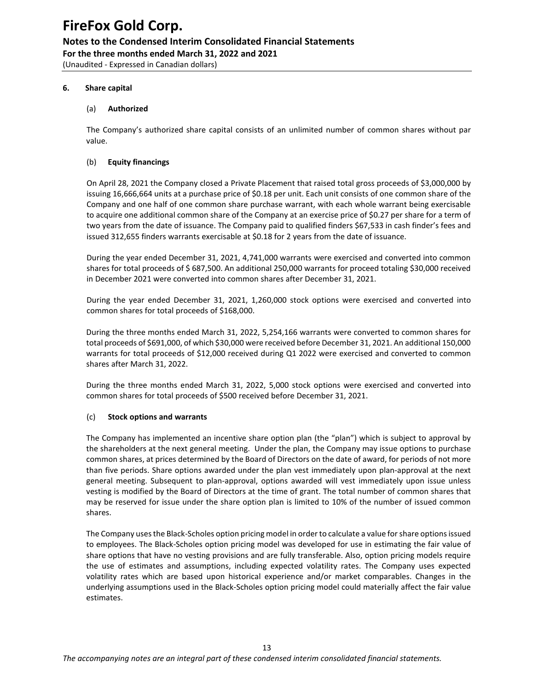(Unaudited - Expressed in Canadian dollars)

#### **6. Share capital**

#### (a) **Authorized**

The Company's authorized share capital consists of an unlimited number of common shares without par value.

#### (b) **Equity financings**

On April 28, 2021 the Company closed a Private Placement that raised total gross proceeds of \$3,000,000 by issuing 16,666,664 units at a purchase price of \$0.18 per unit. Each unit consists of one common share of the Company and one half of one common share purchase warrant, with each whole warrant being exercisable to acquire one additional common share of the Company at an exercise price of \$0.27 per share for a term of two years from the date of issuance. The Company paid to qualified finders \$67,533 in cash finder's fees and issued 312,655 finders warrants exercisable at \$0.18 for 2 years from the date of issuance.

During the year ended December 31, 2021, 4,741,000 warrants were exercised and converted into common shares for total proceeds of \$ 687,500. An additional 250,000 warrants for proceed totaling \$30,000 received in December 2021 were converted into common shares after December 31, 2021.

During the year ended December 31, 2021, 1,260,000 stock options were exercised and converted into common shares for total proceeds of \$168,000.

During the three months ended March 31, 2022, 5,254,166 warrants were converted to common shares for total proceeds of \$691,000, of which \$30,000 were received before December 31, 2021. An additional 150,000 warrants for total proceeds of \$12,000 received during Q1 2022 were exercised and converted to common shares after March 31, 2022.

During the three months ended March 31, 2022, 5,000 stock options were exercised and converted into common shares for total proceeds of \$500 received before December 31, 2021.

#### (c) **Stock options and warrants**

The Company has implemented an incentive share option plan (the "plan") which is subject to approval by the shareholders at the next general meeting. Under the plan, the Company may issue options to purchase common shares, at prices determined by the Board of Directors on the date of award, for periods of not more than five periods. Share options awarded under the plan vest immediately upon plan-approval at the next general meeting. Subsequent to plan-approval, options awarded will vest immediately upon issue unless vesting is modified by the Board of Directors at the time of grant. The total number of common shares that may be reserved for issue under the share option plan is limited to 10% of the number of issued common shares.

The Company uses the Black-Scholes option pricing model in order to calculate a value for share optionsissued to employees. The Black-Scholes option pricing model was developed for use in estimating the fair value of share options that have no vesting provisions and are fully transferable. Also, option pricing models require the use of estimates and assumptions, including expected volatility rates. The Company uses expected volatility rates which are based upon historical experience and/or market comparables. Changes in the underlying assumptions used in the Black-Scholes option pricing model could materially affect the fair value estimates.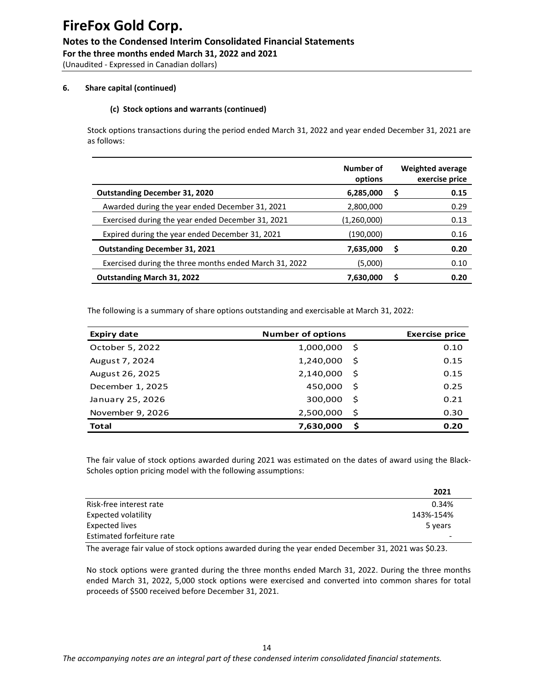(Unaudited - Expressed in Canadian dollars)

#### **6. Share capital (continued)**

#### **(c) Stock options and warrants (continued)**

Stock options transactions during the period ended March 31, 2022 and year ended December 31, 2021 are as follows:

|                                                        | Number of<br>options |   | <b>Weighted average</b><br>exercise price |
|--------------------------------------------------------|----------------------|---|-------------------------------------------|
| <b>Outstanding December 31, 2020</b>                   | 6,285,000            | S | 0.15                                      |
| Awarded during the year ended December 31, 2021        | 2,800,000            |   | 0.29                                      |
| Exercised during the year ended December 31, 2021      | (1,260,000)          |   | 0.13                                      |
| Expired during the year ended December 31, 2021        | (190,000)            |   | 0.16                                      |
| <b>Outstanding December 31, 2021</b>                   | 7,635,000            | S | 0.20                                      |
| Exercised during the three months ended March 31, 2022 | (5,000)              |   | 0.10                                      |
| <b>Outstanding March 31, 2022</b>                      | 7,630,000            | S | 0.20                                      |

The following is a summary of share options outstanding and exercisable at March 31, 2022:

| <b>Expiry date</b> | <b>Number of options</b> |      |      |  |  |  |  |  |
|--------------------|--------------------------|------|------|--|--|--|--|--|
| October 5, 2022    | 1,000,000                | - S  | 0.10 |  |  |  |  |  |
| August 7, 2024     | 1,240,000                | - \$ | 0.15 |  |  |  |  |  |
| August 26, 2025    | 2,140,000                | - \$ | 0.15 |  |  |  |  |  |
| December 1, 2025   | 450,000                  | - Ś  | 0.25 |  |  |  |  |  |
| January 25, 2026   | 300,000                  | - \$ | 0.21 |  |  |  |  |  |
| November 9, 2026   | 2,500,000                | -\$  | 0.30 |  |  |  |  |  |
| <b>Total</b>       | 7,630,000                | .\$  | 0.20 |  |  |  |  |  |

The fair value of stock options awarded during 2021 was estimated on the dates of award using the Black-Scholes option pricing model with the following assumptions:

|                           | 2021      |
|---------------------------|-----------|
| Risk-free interest rate   | 0.34%     |
| Expected volatility       | 143%-154% |
| Expected lives            | 5 years   |
| Estimated forfeiture rate |           |

The average fair value of stock options awarded during the year ended December 31, 2021 was \$0.23.

No stock options were granted during the three months ended March 31, 2022. During the three months ended March 31, 2022, 5,000 stock options were exercised and converted into common shares for total proceeds of \$500 received before December 31, 2021.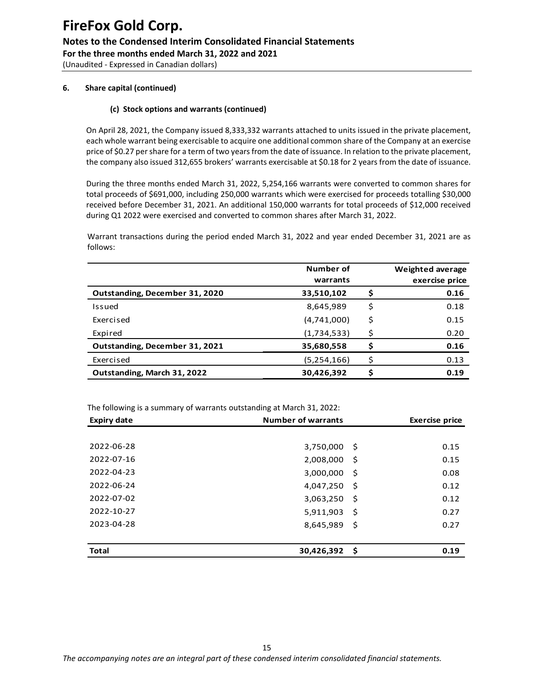(Unaudited - Expressed in Canadian dollars)

#### **6. Share capital (continued)**

#### **(c) Stock options and warrants (continued)**

On April 28, 2021, the Company issued 8,333,332 warrants attached to units issued in the private placement, each whole warrant being exercisable to acquire one additional common share of the Company at an exercise price of \$0.27 per share for a term of two years from the date of issuance. In relation to the private placement, the company also issued 312,655 brokers' warrants exercisable at \$0.18 for 2 years from the date of issuance.

During the three months ended March 31, 2022, 5,254,166 warrants were converted to common shares for total proceeds of \$691,000, including 250,000 warrants which were exercised for proceeds totalling \$30,000 received before December 31, 2021. An additional 150,000 warrants for total proceeds of \$12,000 received during Q1 2022 were exercised and converted to common shares after March 31, 2022.

Warrant transactions during the period ended March 31, 2022 and year ended December 31, 2021 are as follows:

|                                | Number of<br>warrants |    | <b>Weighted average</b><br>exercise price |  |
|--------------------------------|-----------------------|----|-------------------------------------------|--|
| Outstanding, December 31, 2020 | 33,510,102            |    | 0.16                                      |  |
| Issued                         | 8,645,989             | \$ | 0.18                                      |  |
| Exercised                      | (4,741,000)           | \$ | 0.15                                      |  |
| Expired                        | (1,734,533)           | Ś  | 0.20                                      |  |
| Outstanding, December 31, 2021 | 35,680,558            | Ś  | 0.16                                      |  |
| Exercised                      | (5,254,166)           | ς  | 0.13                                      |  |
| Outstanding, March 31, 2022    | 30,426,392            |    | 0.19                                      |  |

The following is a summary of warrants outstanding at March 31, 2022:

| <b>Expiry date</b> | <b>Number of warrants</b> | <b>Exercise price</b> |      |
|--------------------|---------------------------|-----------------------|------|
|                    |                           |                       |      |
| 2022-06-28         | 3,750,000                 | -\$                   | 0.15 |
| 2022-07-16         | 2,008,000                 | -\$                   | 0.15 |
| 2022-04-23         | 3,000,000                 | -S                    | 0.08 |
| 2022-06-24         | 4,047,250                 | -\$                   | 0.12 |
| 2022-07-02         | 3,063,250                 | -\$                   | 0.12 |
| 2022-10-27         | 5,911,903                 | -\$                   | 0.27 |
| 2023-04-28         | 8,645,989                 | -\$                   | 0.27 |
|                    |                           |                       |      |
| <b>Total</b>       | 30,426,392                | -\$                   | 0.19 |